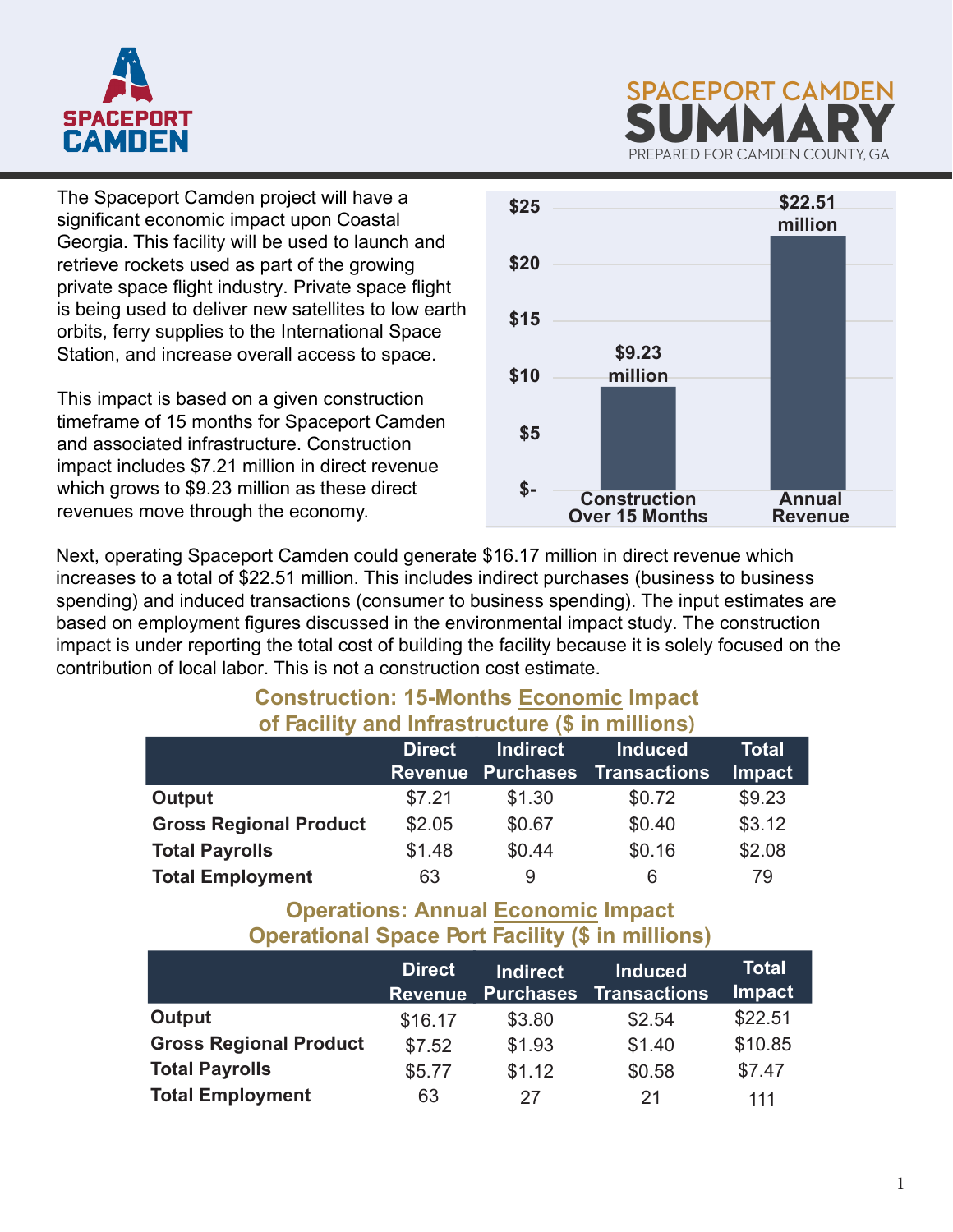



The Spaceport Camden project will have a significant economic impact upon Coastal Georgia. This facility will be used to launch and retrieve rockets used as part of the growing private space flight industry. Private space flight is being used to deliver new satellites to low earth orbits, ferry supplies to the International Space Station, and increase overall access to space.

This impact is based on a given construction timeframe of 15 months for Spaceport Camden and associated infrastructure. Construction impact includes \$7.21 million in direct revenue which grows to \$9.23 million as these direct revenues move through the economy.



Next, operating Spaceport Camden could generate \$16.17 million in direct revenue which increases to a total of \$22.51 million. This includes indirect purchases (business to business spending) and induced transactions (consumer to business spending). The input estimates are based on employment figures discussed in the environmental impact study. The construction impact is under reporting the total cost of building the facility because it is solely focused on the contribution of local labor. This is not a construction cost estimate.

#### **Construction: 15-Months Economic Impact of Facility and Infrastructure (\$ in millions)**

|                               | <b>Direct</b> | <b>Indirect</b><br><b>Revenue Purchases</b> | <b>Induced</b><br><b>Transactions</b> | <b>Total</b><br><b>Impact</b> |
|-------------------------------|---------------|---------------------------------------------|---------------------------------------|-------------------------------|
| Output                        | \$7.21        | \$1.30                                      | \$0.72                                | \$9.23                        |
| <b>Gross Regional Product</b> | \$2.05        | \$0.67                                      | \$0.40                                | \$3.12                        |
| <b>Total Payrolls</b>         | \$1.48        | \$0.44                                      | \$0.16                                | \$2.08                        |
| <b>Total Employment</b>       | 63            | 9                                           | 6                                     | 79                            |

#### **Operations: Annual Economic Impact Operational Space Port Facility (\$ in millions)**

|                               | <b>Direct</b><br><b>Revenue</b> | <b>Indirect</b><br><b>Purchases</b> | <b>Induced</b><br><b>Transactions</b> | Total<br><b>Impact</b> |
|-------------------------------|---------------------------------|-------------------------------------|---------------------------------------|------------------------|
| Output                        | \$16.17                         | \$3.80                              | \$2.54                                | \$22.51                |
| <b>Gross Regional Product</b> | \$7.52                          | \$1.93                              | \$1.40                                | \$10.85                |
| <b>Total Payrolls</b>         | \$5.77                          | \$1.12                              | \$0.58                                | \$7.47                 |
| <b>Total Employment</b>       | 63                              | 27                                  | 21                                    | 111                    |